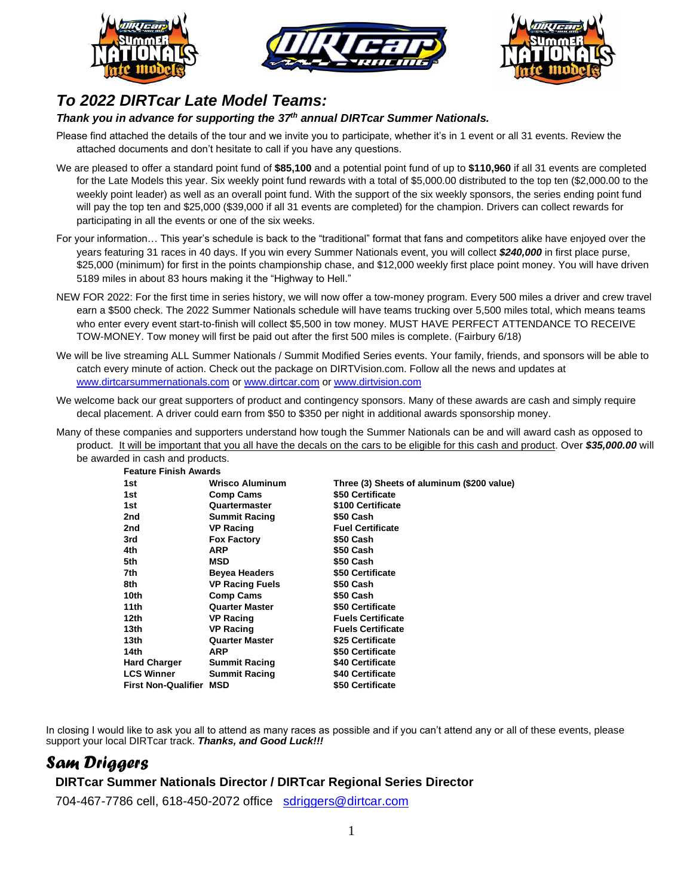





# *To 2022 DIRTcar Late Model Teams:*

## *Thank you in advance for supporting the 37 th annual DIRTcar Summer Nationals.*

Please find attached the details of the tour and we invite you to participate, whether it's in 1 event or all 31 events. Review the attached documents and don't hesitate to call if you have any questions.

- We are pleased to offer a standard point fund of **\$85,100** and a potential point fund of up to **\$110,960** if all 31 events are completed for the Late Models this year. Six weekly point fund rewards with a total of \$5,000.00 distributed to the top ten (\$2,000.00 to the weekly point leader) as well as an overall point fund. With the support of the six weekly sponsors, the series ending point fund will pay the top ten and \$25,000 (\$39,000 if all 31 events are completed) for the champion. Drivers can collect rewards for participating in all the events or one of the six weeks.
- For your information… This year's schedule is back to the "traditional" format that fans and competitors alike have enjoyed over the years featuring 31 races in 40 days. If you win every Summer Nationals event, you will collect *\$240,000* in first place purse, \$25,000 (minimum) for first in the points championship chase, and \$12,000 weekly first place point money. You will have driven 5189 miles in about 83 hours making it the "Highway to Hell."
- NEW FOR 2022: For the first time in series history, we will now offer a tow-money program. Every 500 miles a driver and crew travel earn a \$500 check. The 2022 Summer Nationals schedule will have teams trucking over 5,500 miles total, which means teams who enter every event start-to-finish will collect \$5,500 in tow money. MUST HAVE PERFECT ATTENDANCE TO RECEIVE TOW-MONEY. Tow money will first be paid out after the first 500 miles is complete. (Fairbury 6/18)
- We will be live streaming ALL Summer Nationals / Summit Modified Series events. Your family, friends, and sponsors will be able to catch every minute of action. Check out the package on DIRTVision.com. Follow all the news and updates at www.dirtcarsummernationals.com or www.dirtcar.com or www.dirtvision.com
- We welcome back our great supporters of product and contingency sponsors. Many of these awards are cash and simply require decal placement. A driver could earn from \$50 to \$350 per night in additional awards sponsorship money.
- Many of these companies and supporters understand how tough the Summer Nationals can be and will award cash as opposed to product. It will be important that you all have the decals on the cars to be eligible for this cash and product. Over *\$35,000.00* will be awarded in cash and products.

**Feature Finish Awards** 

| 1 GALAIG 1 11 11 31 I AWAI AS |                        |                                            |
|-------------------------------|------------------------|--------------------------------------------|
| 1st                           | <b>Wrisco Aluminum</b> | Three (3) Sheets of aluminum (\$200 value) |
| 1st                           | <b>Comp Cams</b>       | \$50 Certificate                           |
| 1st                           | Quartermaster          | \$100 Certificate                          |
| 2nd                           | <b>Summit Racing</b>   | \$50 Cash                                  |
| 2nd                           | <b>VP Racing</b>       | <b>Fuel Certificate</b>                    |
| 3rd                           | <b>Fox Factory</b>     | \$50 Cash                                  |
| 4th                           | ARP                    | \$50 Cash                                  |
| 5th                           | <b>MSD</b>             | \$50 Cash                                  |
| 7th                           | <b>Beyea Headers</b>   | \$50 Certificate                           |
| 8th                           | <b>VP Racing Fuels</b> | \$50 Cash                                  |
| 10th                          | <b>Comp Cams</b>       | \$50 Cash                                  |
| 11th                          | <b>Quarter Master</b>  | \$50 Certificate                           |
| 12th                          | <b>VP Racing</b>       | <b>Fuels Certificate</b>                   |
| 13th                          | <b>VP Racing</b>       | <b>Fuels Certificate</b>                   |
| 13th                          | <b>Quarter Master</b>  | \$25 Certificate                           |
| 14th                          | <b>ARP</b>             | \$50 Certificate                           |
| <b>Hard Charger</b>           | <b>Summit Racing</b>   | \$40 Certificate                           |
| <b>LCS Winner</b>             | <b>Summit Racing</b>   | \$40 Certificate                           |
| <b>First Non-Qualifier</b>    | <b>MSD</b>             | \$50 Certificate                           |
|                               |                        |                                            |

In closing I would like to ask you all to attend as many races as possible and if you can't attend any or all of these events, please support your local DIRTcar track. *Thanks, and Good Luck!!!*

# *Sam Driggers*

## **DIRTcar Summer Nationals Director / DIRTcar Regional Series Director**

704-467-7786 cell, 618-450-2072 office sdriggers@dirtcar.com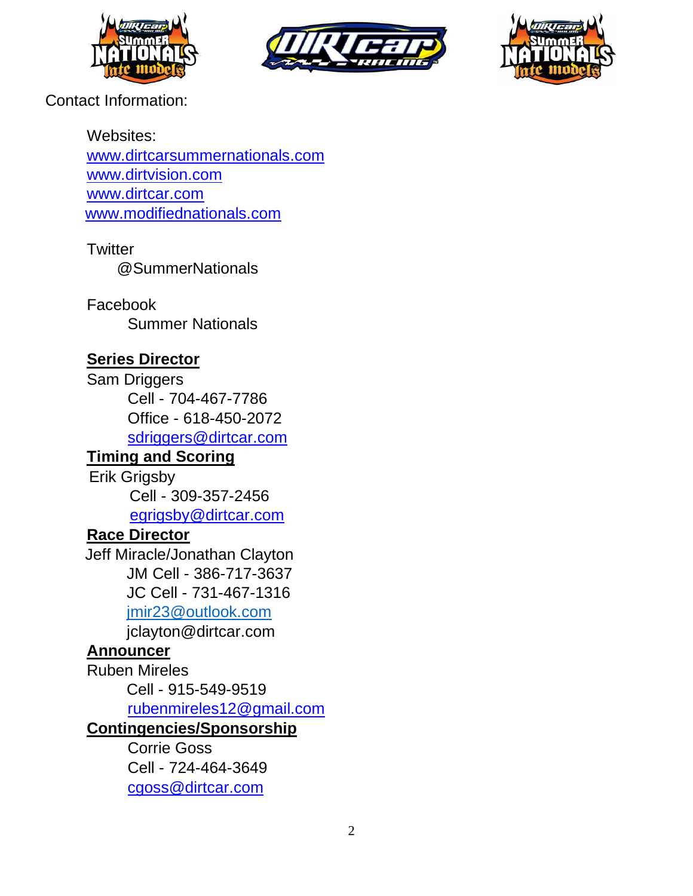





Contact Information:

Websites: www.dirtcarsummernationals.com www.dirtvision.com www.dirtcar.com www.modifiednationals.com

**Twitter** @SummerNationals

Facebook Summer Nationals

# **Series Director**

Sam Driggers Cell - 704-467-7786 Office - 618-450-2072 sdriggers@dirtcar.com

# **Timing and Scoring**

Erik Grigsby Cell - 309-357-2456 egrigsby@dirtcar.com

# **Race Director**

Jeff Miracle/Jonathan Clayton JM Cell - 386-717-3637 JC Cell - 731-467-1316 [jmir23@outlook.com](mailto:jmir23@outlook.com)

jclayton@dirtcar.com

# **Announcer**

Ruben Mireles

Cell - 915-549-9519

rubenmireles12@gmail.com

# **Contingencies/Sponsorship**

Corrie Goss Cell - 724-464-3649 cgoss@dirtcar.com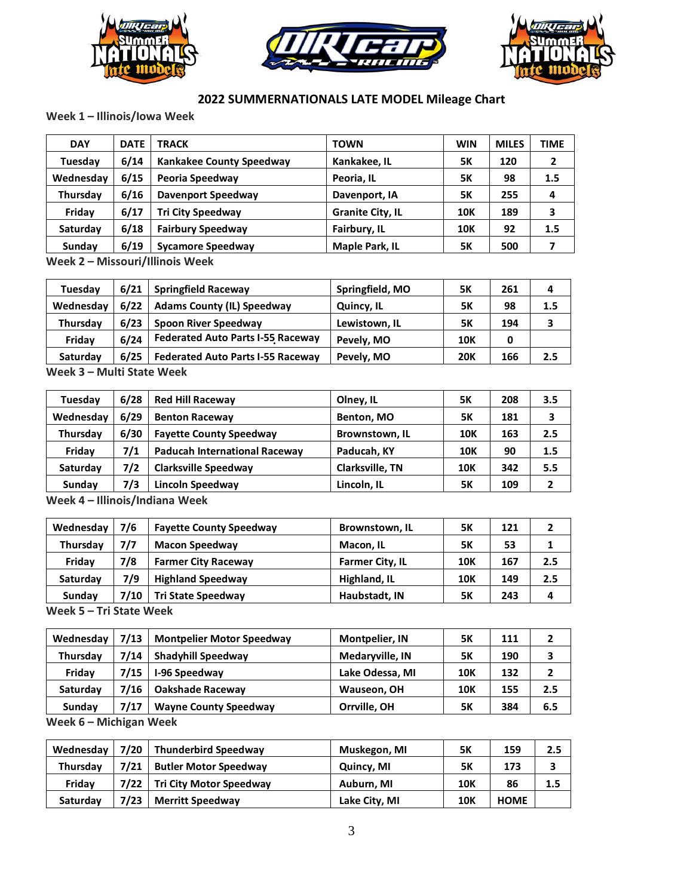





## **2022 SUMMERNATIONALS LATE MODEL Mileage Chart**

**Week 1 – Illinois/Iowa Week**

| <b>DAY</b> | <b>DATE</b> | <b>TRACK</b>                    | <b>TOWN</b>             | <b>WIN</b> | <b>MILES</b> | TIME |
|------------|-------------|---------------------------------|-------------------------|------------|--------------|------|
| Tuesday    | 6/14        | <b>Kankakee County Speedway</b> | Kankakee, IL            | <b>5K</b>  | 120          |      |
| Wednesday  | 6/15        | Peoria Speedway                 | Peoria, IL              | <b>5K</b>  | 98           | 1.5  |
| Thursday   | 6/16        | <b>Davenport Speedway</b>       | Davenport, IA           | <b>5K</b>  | 255          | 4    |
| Friday     | 6/17        | <b>Tri City Speedway</b>        | <b>Granite City, IL</b> | <b>10K</b> | 189          | 3    |
| Saturday   | 6/18        | <b>Fairbury Speedway</b>        | Fairbury, IL            | <b>10K</b> | 92           | 1.5  |
| Sunday     | 6/19        | <b>Sycamore Speedway</b>        | <b>Maple Park, IL</b>   | 5Κ         | 500          |      |
|            |             |                                 |                         |            |              |      |

**Week 2 – Missouri/Illinois Week**

| Tuesday                                                    | 6/21 | <b>Springfield Raceway</b>               | Springfield, MO | <b>5K</b>  | 261 | 4   |  |
|------------------------------------------------------------|------|------------------------------------------|-----------------|------------|-----|-----|--|
| Wednesday                                                  | 6/22 | <b>Adams County (IL) Speedway</b>        | Quincy, IL      | 5Κ         | 98  | 1.5 |  |
| Thursday                                                   | 6/23 | <b>Spoon River Speedway</b>              | Lewistown, IL   | 5Κ         | 194 | 3   |  |
| Fridav                                                     | 6/24 | <b>Federated Auto Parts I-55 Raceway</b> | Pevely, MO      | <b>10K</b> | 0   |     |  |
| Saturday                                                   | 6/25 | <b>Federated Auto Parts I-55 Raceway</b> | Pevely, MO      | <b>20K</b> | 166 | 2.5 |  |
| $M \circ \circ h$ 2 $\equiv$ Multi Ctata $M \circ \circ h$ |      |                                          |                 |            |     |     |  |

**Week 3 – Multi State Week**

| Tuesday   | 6/28 | <b>Red Hill Raceway</b>              | Olney, IL              | 5Κ         | 208 | 3.5 |
|-----------|------|--------------------------------------|------------------------|------------|-----|-----|
| Wednesday | 6/29 | <b>Benton Raceway</b>                | Benton, MO             | 5Κ         | 181 |     |
| Thursday  | 6/30 | <b>Fayette County Speedway</b>       | Brownstown, IL         | 10K        | 163 | 2.5 |
| Friday    | 7/1  | <b>Paducah International Raceway</b> | Paducah, KY            | <b>10K</b> | 90  | 1.5 |
| Saturday  | 7/2  | <b>Clarksville Speedway</b>          | <b>Clarksville, TN</b> | <b>10K</b> | 342 | 5.5 |
| Sunday    | 7/3  | Lincoln Speedway                     | Lincoln, IL            | 5Κ         | 109 |     |

**Week 4** *–* **Illinois/Indiana Week**

| Wednesday | 7/6  | <b>Fayette County Speedway</b> | Brownstown, IL         | 5Κ         | 121 |     |
|-----------|------|--------------------------------|------------------------|------------|-----|-----|
| Thursday  | 7/7  | <b>Macon Speedway</b>          | Macon, IL              | 5Κ         | 53  |     |
| Friday    | 7/8  | <b>Farmer City Raceway</b>     | <b>Farmer City, IL</b> | <b>10K</b> | 167 | 2.5 |
| Saturday  | 7/9  | <b>Highland Speedway</b>       | Highland, IL           | <b>10K</b> | 149 | 2.5 |
| Sundav    | 7/10 | <b>Tri State Speedway</b>      | Haubstadt, IN          | 5Κ         | 243 | 4   |

**Week 5 – Tri State Week**

| Wednesday | 7/13 | <b>Montpelier Motor Speedway</b> | <b>Montpelier, IN</b> | <b>5K</b>  | 111 | ֳ   |
|-----------|------|----------------------------------|-----------------------|------------|-----|-----|
| Thursdav  | 7/14 | Shadyhill Speedway               | Medaryville, IN       | 5Κ         | 190 | 3   |
| Friday    | 7/15 | <b>I-96 Speedway</b>             | Lake Odessa, MI       | <b>10K</b> | 132 | 2   |
| Saturday  | 7/16 | <b>Oakshade Raceway</b>          | Wauseon, OH           | 10K        | 155 | 2.5 |
| Sundav    | 7/17 | <b>Wayne County Speedway</b>     | Orrville, OH          | <b>5K</b>  | 384 | 6.5 |

**Week 6 – Michigan Week**

| Wednesday | 7/20 | Thunderbird Speedway         | Muskegon, MI  | <b>5K</b>  | 159         | 2.5 |
|-----------|------|------------------------------|---------------|------------|-------------|-----|
| Thursday  | 7/21 | <b>Butler Motor Speedway</b> | Quincy, MI    | 5Κ         | 173         |     |
| Fridav    |      | 7/22 Tri City Motor Speedway | Auburn, MI    | <b>10K</b> | 86          | 1.5 |
| Saturday  | 7/23 | <b>Merritt Speedway</b>      | Lake City, MI | <b>10K</b> | <b>HOME</b> |     |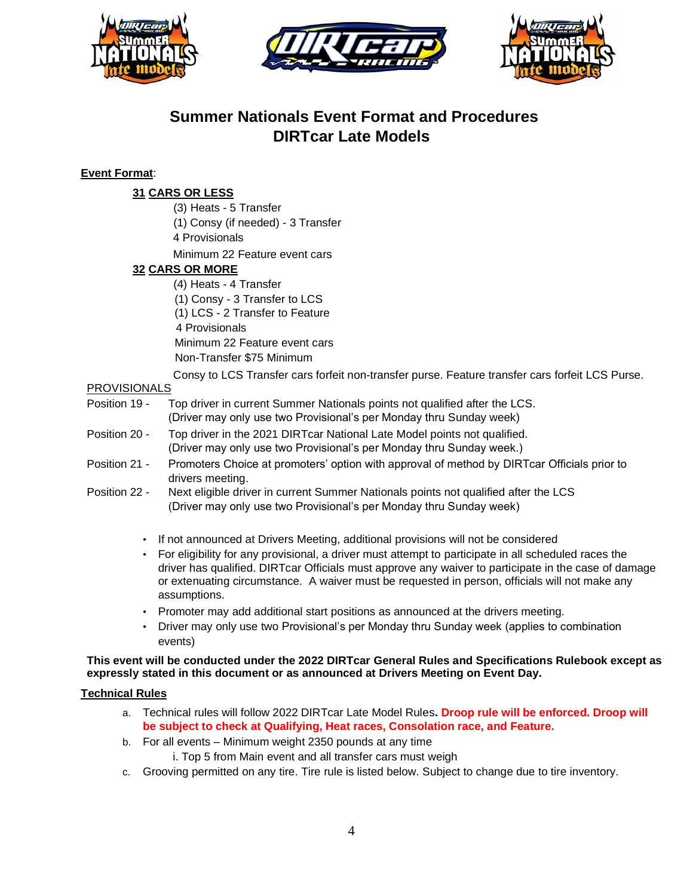





# **Summer Nationals Event Format and Procedures DIRTcar Late Models**

## **Event Format**:

## **31 CARS OR LESS**

(3) Heats - 5 Transfer

(1) Consy (if needed) - 3 Transfer

4 Provisionals

Minimum 22 Feature event cars

## **32 CARS OR MORE**

(4) Heats - 4 Transfer (1) Consy - 3 Transfer to LCS (1) LCS - 2 Transfer to Feature 4 Provisionals Minimum 22 Feature event cars Non-Transfer \$75 Minimum

Consy to LCS Transfer cars forfeit non-transfer purse. Feature transfer cars forfeit LCS Purse.

## PROVISIONALS

- Position 19 Top driver in current Summer Nationals points not qualified after the LCS. (Driver may only use two Provisional's per Monday thru Sunday week)
- Position 20 Top driver in the 2021 DIRTcar National Late Model points not qualified. (Driver may only use two Provisional's per Monday thru Sunday week.)
- Position 21 Promoters Choice at promoters' option with approval of method by DIRTcar Officials prior to drivers meeting.
- Position 22 Next eligible driver in current Summer Nationals points not qualified after the LCS (Driver may only use two Provisional's per Monday thru Sunday week)
	- If not announced at Drivers Meeting, additional provisions will not be considered
	- For eligibility for any provisional, a driver must attempt to participate in all scheduled races the driver has qualified. DIRTcar Officials must approve any waiver to participate in the case of damage or extenuating circumstance. A waiver must be requested in person, officials will not make any assumptions.
	- Promoter may add additional start positions as announced at the drivers meeting.
	- Driver may only use two Provisional's per Monday thru Sunday week (applies to combination events)

## **This event will be conducted under the 2022 DIRTcar General Rules and Specifications Rulebook except as expressly stated in this document or as announced at Drivers Meeting on Event Day.**

## **Technical Rules**

- a. Technical rules will follow 2022 DIRTcar Late Model Rules**. Droop rule will be enforced. Droop will be subject to check at Qualifying, Heat races, Consolation race, and Feature.**
- b. For all events Minimum weight 2350 pounds at any time
	- i. Top 5 from Main event and all transfer cars must weigh
- c. Grooving permitted on any tire. Tire rule is listed below. Subject to change due to tire inventory.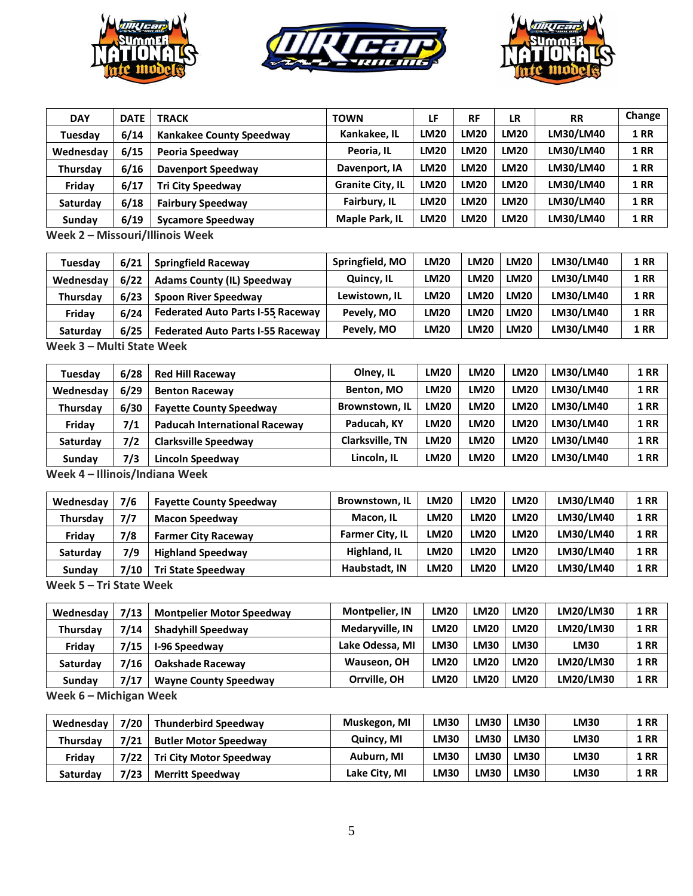





| <b>DAY</b> | <b>DATE</b>                     | <b>TRACK</b>              | <b>TOWN</b>             | LF          | <b>RF</b>   | LR          | <b>RR</b> | Change      |  |
|------------|---------------------------------|---------------------------|-------------------------|-------------|-------------|-------------|-----------|-------------|--|
| Tuesday    | 6/14                            | Kankakee County Speedway  | Kankakee, IL            | <b>LM20</b> | <b>LM20</b> | <b>LM20</b> | LM30/LM40 | <b>1 RR</b> |  |
| Wednesday  | 6/15                            | Peoria Speedway           | Peoria, IL              | <b>LM20</b> | <b>LM20</b> | <b>LM20</b> | LM30/LM40 | <b>1 RR</b> |  |
| Thursday   | 6/16                            | <b>Davenport Speedway</b> | Davenport, IA           | <b>LM20</b> | <b>LM20</b> | <b>LM20</b> | LM30/LM40 | <b>1 RR</b> |  |
| Friday     | 6/17                            | <b>Tri City Speedway</b>  | <b>Granite City, IL</b> | <b>LM20</b> | <b>LM20</b> | <b>LM20</b> | LM30/LM40 | <b>1 RR</b> |  |
| Saturday   | 6/18                            | <b>Fairbury Speedway</b>  | Fairbury, IL            | <b>LM20</b> | <b>LM20</b> | <b>LM20</b> | LM30/LM40 | <b>1 RR</b> |  |
| Sunday     | 6/19                            | <b>Sycamore Speedway</b>  | <b>Maple Park, IL</b>   | <b>LM20</b> | <b>LM20</b> | <b>LM20</b> | LM30/LM40 | <b>1 RR</b> |  |
|            | Maak 2 - Missouri/Illinois Waak |                           |                         |             |             |             |           |             |  |

**Week 2 – Missouri/Illinois Week**

| Tuesday         | 6/21 | <b>Springfield Raceway</b>               | Springfield, MO | <b>LM20</b> | <b>LM20</b> | LM20        | LM30/LM40 | <b>1 RR</b> |
|-----------------|------|------------------------------------------|-----------------|-------------|-------------|-------------|-----------|-------------|
| Wednesday       | 6/22 | <b>Adams County (IL) Speedway</b>        | Quincy, IL      | <b>LM20</b> | <b>LM20</b> | <b>LM20</b> | LM30/LM40 | <b>1 RR</b> |
| <b>Thursdav</b> | 6/23 | <b>Spoon River Speedway</b>              | Lewistown, IL   | <b>LM20</b> | <b>LM20</b> | <b>LM20</b> | LM30/LM40 | <b>1 RR</b> |
| Fridav          | 6/24 | <b>Federated Auto Parts I-55 Raceway</b> | Pevely, MO      | <b>LM20</b> | <b>LM20</b> | LM20        | LM30/LM40 | <b>1 RR</b> |
| <b>Saturdav</b> | 6/25 | <b>Federated Auto Parts I-55 Raceway</b> | Pevely, MO      | <b>LM20</b> | <b>LM20</b> | <b>LM20</b> | LM30/LM40 | <b>1 RR</b> |
|                 |      |                                          |                 |             |             |             |           |             |

**Week 3 – Multi State Week**

| Tuesday   | 6/28 | <b>Red Hill Raceway</b>              | Olney, IL       | <b>LM20</b> | <b>LM20</b> | <b>LM20</b> | LM30/LM40 | <b>1 RR</b> |
|-----------|------|--------------------------------------|-----------------|-------------|-------------|-------------|-----------|-------------|
| Wednesday | 6/29 | <b>Benton Raceway</b>                | Benton, MO      | <b>LM20</b> | <b>LM20</b> | <b>LM20</b> | LM30/LM40 | <b>1 RR</b> |
| Thursday  | 6/30 | <b>Fayette County Speedway</b>       | Brownstown, IL  | <b>LM20</b> | <b>LM20</b> | <b>LM20</b> | LM30/LM40 | <b>1 RR</b> |
| Friday    | 7/1  | <b>Paducah International Raceway</b> | Paducah, KY     | <b>LM20</b> | <b>LM20</b> | <b>LM20</b> | LM30/LM40 | <b>1 RR</b> |
| Saturday  | 7/2  | <b>Clarksville Speedway</b>          | Clarksville, TN | <b>LM20</b> | <b>LM20</b> | <b>LM20</b> | LM30/LM40 | <b>1 RR</b> |
| Sundav    | 7/3  | Lincoln Speedway                     | Lincoln. IL     | <b>LM20</b> | <b>LM20</b> | <b>LM20</b> | LM30/LM40 | <b>1 RR</b> |
|           | .    | .                                    |                 |             |             |             |           |             |

**Week 4** *–* **Illinois/Indiana Week**

| Wednesday       | 7/6       | <b>Favette County Speedway</b> | Brownstown, IL         | <b>LM20</b> | <b>LM20</b> | <b>LM20</b> | LM30/LM40 | <b>1 RR</b> |
|-----------------|-----------|--------------------------------|------------------------|-------------|-------------|-------------|-----------|-------------|
| Thursday        | 7/7       | <b>Macon Speedway</b>          | Macon, IL              | <b>LM20</b> | <b>LM20</b> | <b>LM20</b> | LM30/LM40 | <b>1 RR</b> |
| Friday          | 7/8       | <b>Farmer City Raceway</b>     | <b>Farmer City, IL</b> | <b>LM20</b> | <b>LM20</b> | <b>LM20</b> | LM30/LM40 | <b>1 RR</b> |
| <b>Saturdav</b> | 7/9       | <b>Highland Speedway</b>       | Highland, IL           | <b>LM20</b> | <b>LM20</b> | <b>LM20</b> | LM30/LM40 | <b>1 RR</b> |
| Sunday          | 7/10      | Tri State Speedway             | Haubstadt. IN          | <b>LM20</b> | <b>LM20</b> | <b>LM20</b> | LM30/LM40 | <b>1 RR</b> |
|                 | _ . _ . _ |                                |                        |             |             |             |           |             |

**Week 5 – Tri State Week**

| Wednesday       | 7/13                     | <b>Montpelier Motor Speedway</b> | <b>Montpelier. IN</b> | <b>LM20</b> | <b>LM20</b> | <b>LM20</b> | LM20/LM30   | <b>1 RR</b> |
|-----------------|--------------------------|----------------------------------|-----------------------|-------------|-------------|-------------|-------------|-------------|
| <b>Thursdav</b> | 7/14                     | <b>Shadyhill Speedway</b>        | Medaryville, IN       | <b>LM20</b> | <b>LM20</b> | <b>LM20</b> | LM20/LM30   | <b>1 RR</b> |
| Fridav          | 7/15                     | <b>I-96 Speedway</b>             | Lake Odessa, MI       | LM30        | <b>LM30</b> | LM30        | <b>LM30</b> | <b>1 RR</b> |
| Saturday        | 7/16                     | <b>Oakshade Raceway</b>          | Wauseon, OH           | <b>LM20</b> | <b>LM20</b> | <b>LM20</b> | LM20/LM30   | <b>1 RR</b> |
| Sunday          | 7/17                     | <b>Wayne County Speedway</b>     | Orrville, OH          | <b>LM20</b> | <b>LM20</b> | <b>LM20</b> | LM20/LM30   | <b>1 RR</b> |
|                 | March C. Matchines March |                                  |                       |             |             |             |             |             |

**Week 6 – Michigan Week**

| Wednesday | 7/20 | <b>Thunderbird Speedway</b>    | Muskegon, MI  | <b>LM30</b> | <b>LM30</b> | LM30        | <b>LM30</b> | <b>1 RR</b> |
|-----------|------|--------------------------------|---------------|-------------|-------------|-------------|-------------|-------------|
| Thursday  | 7/21 | <b>Butler Motor Speedway</b>   | Quincy, MI    | <b>LM30</b> | <b>LM30</b> | <b>LM30</b> | <b>LM30</b> | <b>1 RR</b> |
| Fridav    | 7/22 | <b>Tri City Motor Speedway</b> | Auburn, MI    | <b>LM30</b> | <b>LM30</b> | <b>LM30</b> | <b>LM30</b> | <b>1 RR</b> |
| Saturday  | 7/23 | <b>Merritt Speedway</b>        | Lake City, MI | <b>LM30</b> | <b>LM30</b> | <b>LM30</b> | <b>LM30</b> | <b>1 RR</b> |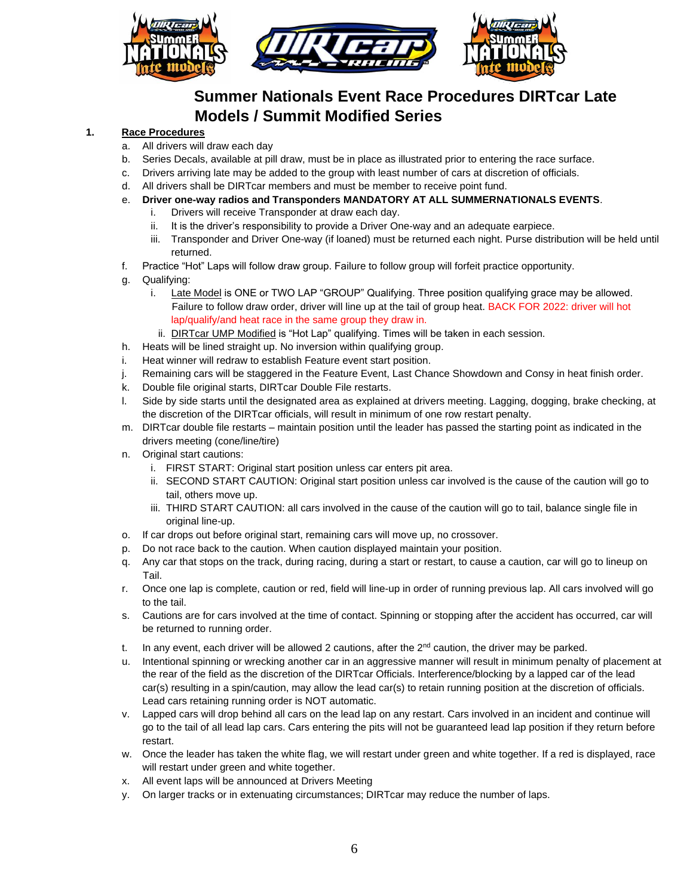

# **Summer Nationals Event Race Procedures DIRTcar Late Models / Summit Modified Series**

## **1. Race Procedures**

- a. All drivers will draw each day
- b. Series Decals, available at pill draw, must be in place as illustrated prior to entering the race surface.
- c. Drivers arriving late may be added to the group with least number of cars at discretion of officials.
- d. All drivers shall be DIRTcar members and must be member to receive point fund.
- e. **Driver one-way radios and Transponders MANDATORY AT ALL SUMMERNATIONALS EVENTS**.
	- i. Drivers will receive Transponder at draw each day.
	- ii. It is the driver's responsibility to provide a Driver One-way and an adequate earpiece.
	- iii. Transponder and Driver One-way (if loaned) must be returned each night. Purse distribution will be held until returned.
- f. Practice "Hot" Laps will follow draw group. Failure to follow group will forfeit practice opportunity.
- g. Qualifying:
	- i. Late Model is ONE or TWO LAP "GROUP" Qualifying. Three position qualifying grace may be allowed. Failure to follow draw order, driver will line up at the tail of group heat. BACK FOR 2022: driver will hot lap/qualify/and heat race in the same group they draw in.
	- ii. DIRTcar UMP Modified is "Hot Lap" qualifying. Times will be taken in each session.
- h. Heats will be lined straight up. No inversion within qualifying group.
- i. Heat winner will redraw to establish Feature event start position.
- j. Remaining cars will be staggered in the Feature Event, Last Chance Showdown and Consy in heat finish order.
- k. Double file original starts, DIRTcar Double File restarts.
- l. Side by side starts until the designated area as explained at drivers meeting. Lagging, dogging, brake checking, at the discretion of the DIRTcar officials, will result in minimum of one row restart penalty.
- m. DIRTcar double file restarts maintain position until the leader has passed the starting point as indicated in the drivers meeting (cone/line/tire)
- n. Original start cautions:
	- i. FIRST START: Original start position unless car enters pit area.
	- ii. SECOND START CAUTION: Original start position unless car involved is the cause of the caution will go to tail, others move up.
	- iii. THIRD START CAUTION: all cars involved in the cause of the caution will go to tail, balance single file in original line-up.
- o. If car drops out before original start, remaining cars will move up, no crossover.
- p. Do not race back to the caution. When caution displayed maintain your position.
- q. Any car that stops on the track, during racing, during a start or restart, to cause a caution, car will go to lineup on Tail.
- r. Once one lap is complete, caution or red, field will line-up in order of running previous lap. All cars involved will go to the tail.
- s. Cautions are for cars involved at the time of contact. Spinning or stopping after the accident has occurred, car will be returned to running order.
- t. In any event, each driver will be allowed 2 cautions, after the  $2<sup>nd</sup>$  caution, the driver may be parked.
- u. Intentional spinning or wrecking another car in an aggressive manner will result in minimum penalty of placement at the rear of the field as the discretion of the DIRTcar Officials. Interference/blocking by a lapped car of the lead car(s) resulting in a spin/caution, may allow the lead car(s) to retain running position at the discretion of officials. Lead cars retaining running order is NOT automatic.
- v. Lapped cars will drop behind all cars on the lead lap on any restart. Cars involved in an incident and continue will go to the tail of all lead lap cars. Cars entering the pits will not be guaranteed lead lap position if they return before restart.
- w. Once the leader has taken the white flag, we will restart under green and white together. If a red is displayed, race will restart under green and white together.
- x. All event laps will be announced at Drivers Meeting
- y. On larger tracks or in extenuating circumstances; DIRTcar may reduce the number of laps.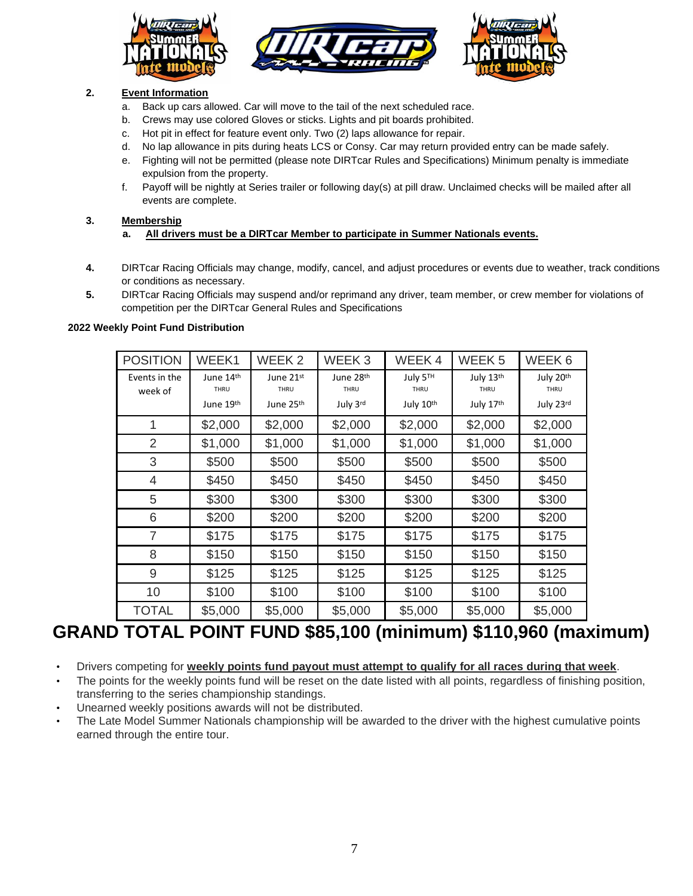





## **2. Event Information**

- a. Back up cars allowed. Car will move to the tail of the next scheduled race.
- b. Crews may use colored Gloves or sticks. Lights and pit boards prohibited.
- c. Hot pit in effect for feature event only. Two (2) laps allowance for repair.
- d. No lap allowance in pits during heats LCS or Consy. Car may return provided entry can be made safely.
- e. Fighting will not be permitted (please note DIRTcar Rules and Specifications) Minimum penalty is immediate expulsion from the property.
- f. Payoff will be nightly at Series trailer or following day(s) at pill draw. Unclaimed checks will be mailed after all events are complete.

## **3. Membership**

- **a. All drivers must be a DIRTcar Member to participate in Summer Nationals events.**
- **4.** DIRTcar Racing Officials may change, modify, cancel, and adjust procedures or events due to weather, track conditions or conditions as necessary.
- **5.** DIRTcar Racing Officials may suspend and/or reprimand any driver, team member, or crew member for violations of competition per the DIRTcar General Rules and Specifications

## **2022 Weekly Point Fund Distribution**

| <b>POSITION</b>          | WEEK1                 | WEEK <sub>2</sub>     | WEEK <sub>3</sub> | WEEK4            | WEEK <sub>5</sub> | WEEK 6            |
|--------------------------|-----------------------|-----------------------|-------------------|------------------|-------------------|-------------------|
| Events in the<br>week of | June 14th<br>THRU     | June 21st<br>THRU     | June 28th<br>THRU | July 5TH<br>THRU | July 13th<br>THRU | July 20th<br>THRU |
|                          | June 19 <sup>th</sup> | June 25 <sup>th</sup> | July 3rd          | July 10th        | July 17th         | July 23rd         |
| 1                        | \$2,000               | \$2,000               | \$2,000           | \$2,000          | \$2,000           | \$2,000           |
| 2                        | \$1,000               | \$1,000               | \$1,000           | \$1,000          | \$1,000           | \$1,000           |
| 3                        | \$500                 | \$500                 | \$500             | \$500            | \$500             | \$500             |
| 4                        | \$450                 | \$450                 | \$450             | \$450            | \$450             | \$450             |
| 5                        | \$300                 | \$300                 | \$300             | \$300            | \$300             | \$300             |
| 6                        | \$200                 | \$200                 | \$200             | \$200            | \$200             | \$200             |
| $\overline{7}$           | \$175                 | \$175                 | \$175             | \$175            | \$175             | \$175             |
| 8                        | \$150                 | \$150                 | \$150             | \$150            | \$150             | \$150             |
| 9                        | \$125                 | \$125                 | \$125             | \$125            | \$125             | \$125             |
| 10                       | \$100                 | \$100                 | \$100             | \$100            | \$100             | \$100             |
| <b>TOTAL</b>             | \$5,000               | \$5,000               | \$5,000           | \$5,000          | \$5,000           | \$5,000           |

# **GRAND TOTAL POINT FUND \$85,100 (minimum) \$110,960 (maximum)**

- Drivers competing for **weekly points fund payout must attempt to qualify for all races during that week**.
- The points for the weekly points fund will be reset on the date listed with all points, regardless of finishing position, transferring to the series championship standings.
- Unearned weekly positions awards will not be distributed.
- The Late Model Summer Nationals championship will be awarded to the driver with the highest cumulative points earned through the entire tour.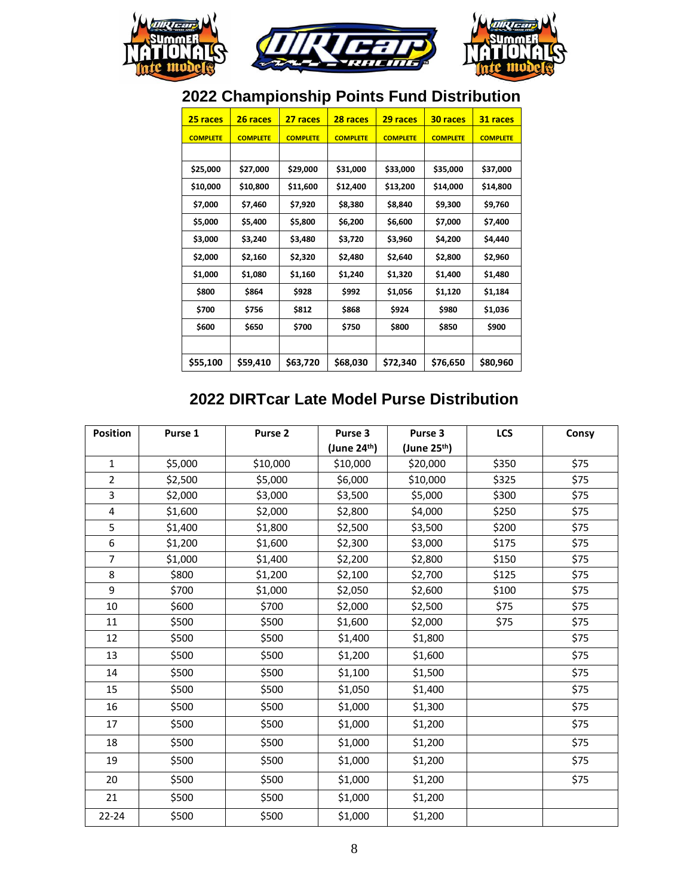

# **2022 Championship Points Fund Distribution**

| 25 races        | 26 races        | 27 races        | 28 races        | 29 races        | 30 races        | 31 races        |
|-----------------|-----------------|-----------------|-----------------|-----------------|-----------------|-----------------|
| <b>COMPLETE</b> | <b>COMPLETE</b> | <b>COMPLETE</b> | <b>COMPLETE</b> | <b>COMPLETE</b> | <b>COMPLETE</b> | <b>COMPLETE</b> |
|                 |                 |                 |                 |                 |                 |                 |
| \$25,000        | \$27,000        | \$29,000        | \$31,000        | \$33,000        | \$35,000        | \$37,000        |
| \$10,000        | \$10,800        | \$11,600        | \$12,400        | \$13,200        | \$14,000        | \$14,800        |
| \$7,000         | \$7,460         | \$7,920         | \$8,380         | \$8,840         | \$9,300         | \$9,760         |
| \$5,000         | \$5,400         | \$5,800         | \$6,200         | \$6,600         | \$7,000         | \$7,400         |
| \$3,000         | \$3,240         | \$3,480         | \$3,720         | \$3,960         | \$4,200         | \$4,440         |
| \$2,000         | \$2,160         | \$2,320         | \$2,480         | \$2,640         | \$2,800         | \$2,960         |
| \$1,000         | \$1,080         | \$1,160         | \$1,240         | \$1,320         | \$1,400         | \$1,480         |
| \$800           | \$864           | \$928           | \$992           | \$1,056         | \$1,120         | \$1,184         |
| \$700           | \$756           | \$812           | \$868           | \$924           | \$980           | \$1,036         |
| \$600           | \$650           | \$700           | \$750           | \$800           | \$850           | \$900           |
|                 |                 |                 |                 |                 |                 |                 |
| \$55,100        | \$59,410        | \$63,720        | \$68,030        | \$72,340        | \$76,650        | \$80,960        |

# **2022 DIRTcar Late Model Purse Distribution**

| <b>Position</b>         | Purse 1 | Purse 2  | Purse 3                  | Purse 3                  | LCS   | Consy |
|-------------------------|---------|----------|--------------------------|--------------------------|-------|-------|
|                         |         |          | (June 24 <sup>th</sup> ) | (June 25 <sup>th</sup> ) |       |       |
| $\mathbf{1}$            | \$5,000 | \$10,000 | \$10,000                 | \$20,000                 | \$350 | \$75  |
| $\overline{2}$          | \$2,500 | \$5,000  | \$6,000                  | \$10,000                 | \$325 | \$75  |
| 3                       | \$2,000 | \$3,000  | \$3,500                  | \$5,000                  | \$300 | \$75  |
| $\overline{\mathbf{4}}$ | \$1,600 | \$2,000  | \$2,800                  | \$4,000                  | \$250 | \$75  |
| 5                       | \$1,400 | \$1,800  | \$2,500                  | \$3,500                  | \$200 | \$75  |
| 6                       | \$1,200 | \$1,600  | \$2,300                  | \$3,000                  | \$175 | \$75  |
| $\overline{7}$          | \$1,000 | \$1,400  | \$2,200                  | \$2,800                  | \$150 | \$75  |
| 8                       | \$800   | \$1,200  | \$2,100                  | \$2,700                  | \$125 | \$75  |
| 9                       | \$700   | \$1,000  | \$2,050                  | \$2,600                  | \$100 | \$75  |
| 10                      | \$600   | \$700    | \$2,000                  | \$2,500                  | \$75  | \$75  |
| 11                      | \$500   | \$500    | \$1,600                  | \$2,000                  | \$75  | \$75  |
| 12                      | \$500   | \$500    | \$1,400                  | \$1,800                  |       | \$75  |
| 13                      | \$500   | \$500    | \$1,200                  | \$1,600                  |       | \$75  |
| 14                      | \$500   | \$500    | \$1,100                  | \$1,500                  |       | \$75  |
| 15                      | \$500   | \$500    | \$1,050                  | \$1,400                  |       | \$75  |
| 16                      | \$500   | \$500    | \$1,000                  | \$1,300                  |       | \$75  |
| 17                      | \$500   | \$500    | \$1,000                  | \$1,200                  |       | \$75  |
| 18                      | \$500   | \$500    | \$1,000                  | \$1,200                  |       | \$75  |
| 19                      | \$500   | \$500    | \$1,000                  | \$1,200                  |       | \$75  |
| 20                      | \$500   | \$500    | \$1,000                  | \$1,200                  |       | \$75  |
| 21                      | \$500   | \$500    | \$1,000                  | \$1,200                  |       |       |
| $22 - 24$               | \$500   | \$500    | \$1,000                  | \$1,200                  |       |       |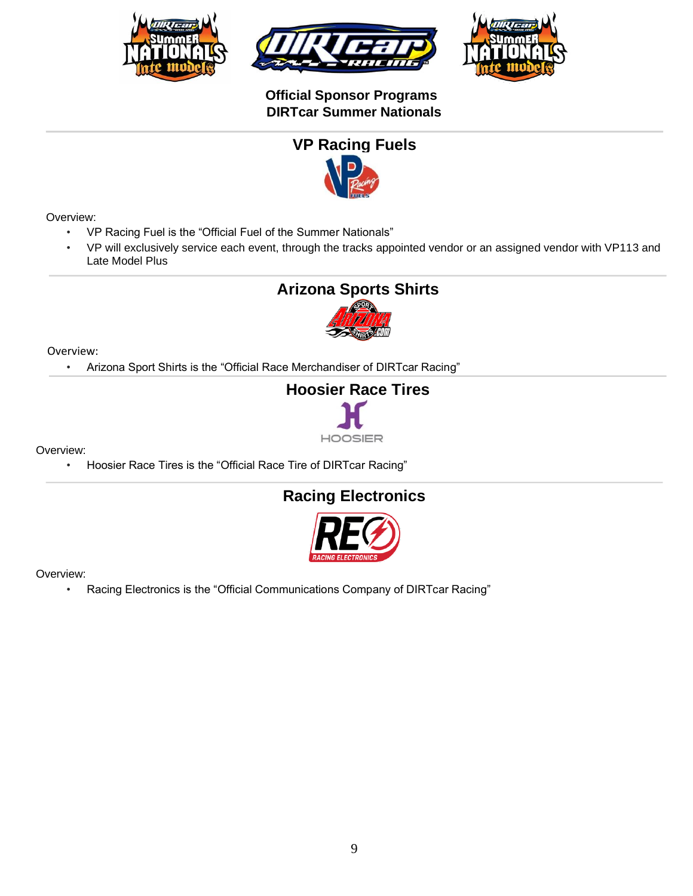





## **Official Sponsor Programs DIRTcar Summer Nationals**



## Overview:

- VP Racing Fuel is the "Official Fuel of the Summer Nationals"
- VP will exclusively service each event, through the tracks appointed vendor or an assigned vendor with VP113 and Late Model Plus

# **Arizona Sports Shirts**



## Overview:

• Arizona Sport Shirts is the "Official Race Merchandiser of DIRTcar Racing"



Overview:

• Hoosier Race Tires is the "Official Race Tire of DIRTcar Racing"

# **Racing Electronics**



Overview:

• Racing Electronics is the "Official Communications Company of DIRTcar Racing"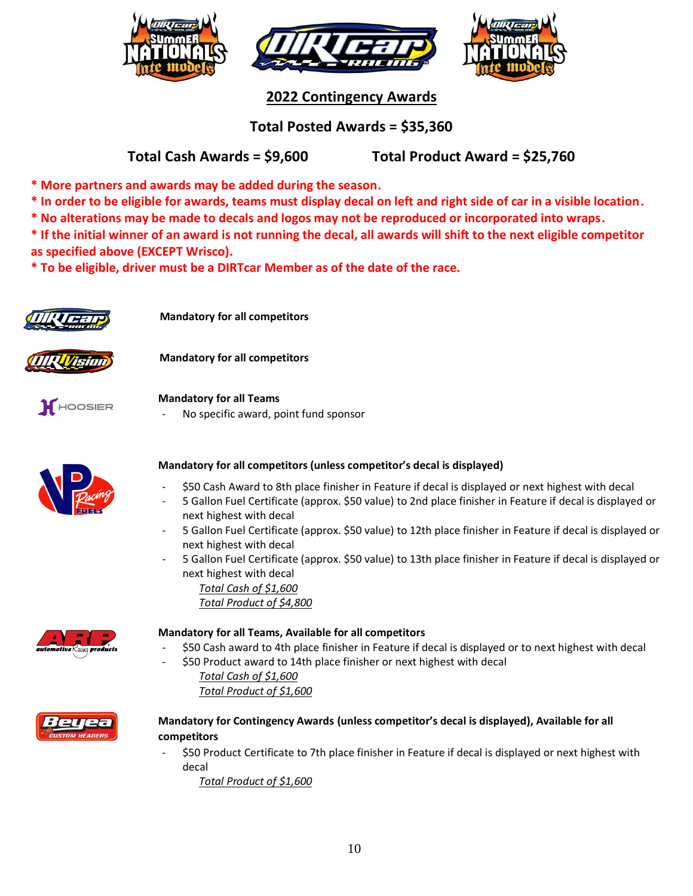





**2022 Contingency Awards**

**Total Posted Awards = \$35,360**

## **Total Cash Awards = \$9,600 Total Product Award = \$25,760**

**\* More partners and awards may be added during the season.**

- **\* In order to be eligible for awards, teams must display decal on left and right side of car in a visible location.**
- **\* No alterations may be made to decals and logos may not be reproduced or incorporated into wraps.**

**\* If the initial winner of an award is not running the decal, all awards will shift to the next eligible competitor as specified above (EXCEPT Wrisco).**

**\* To be eligible, driver must be a DIRTcar Member as of the date of the race.**



 **Mandatory for all competitors**

 **Mandatory for all competitors**





**Mandatory for all Teams**

No specific award, point fund sponsor



## **Mandatory for all competitors (unless competitor's decal is displayed)**

- \$50 Cash Award to 8th place finisher in Feature if decal is displayed or next highest with decal
- 5 Gallon Fuel Certificate (approx. \$50 value) to 2nd place finisher in Feature if decal is displayed or next highest with decal
- 5 Gallon Fuel Certificate (approx. \$50 value) to 12th place finisher in Feature if decal is displayed or next highest with decal
- 5 Gallon Fuel Certificate (approx. \$50 value) to 13th place finisher in Feature if decal is displayed or next highest with decal

*Total Cash of \$1,600 Total Product of \$4,800*



## **Mandatory for all Teams, Available for all competitors**

- \$50 Cash award to 4th place finisher in Feature if decal is displayed or to next highest with decal
- \$50 Product award to 14th place finisher or next highest with decal *Total Cash of \$1,600*

*Total Product of \$1,600*



## **Mandatory for Contingency Awards (unless competitor's decal is displayed), Available for all competitors**

- \$50 Product Certificate to 7th place finisher in Feature if decal is displayed or next highest with decal
	- *Total Product of \$1,600*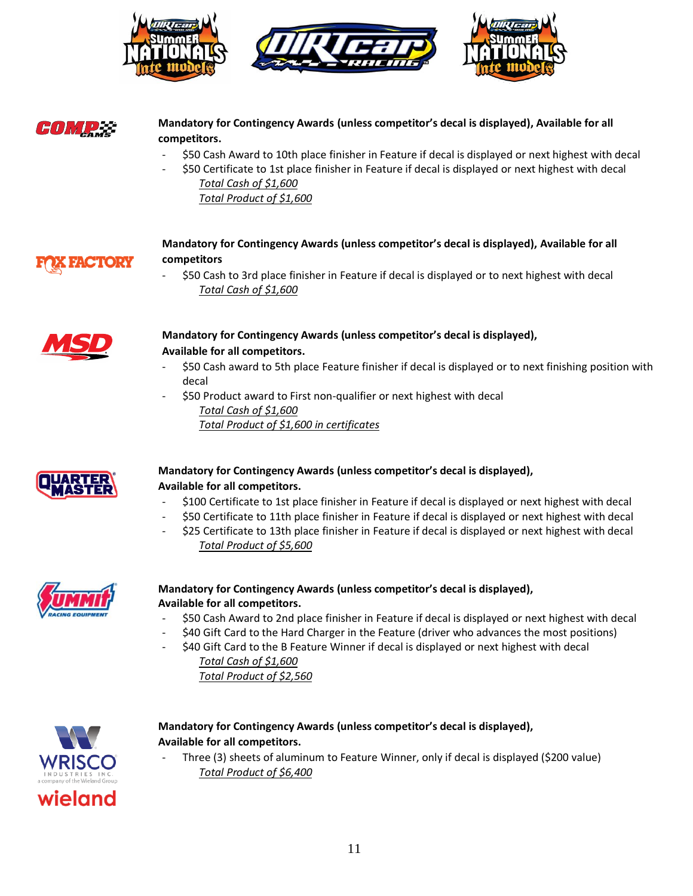



## **Mandatory for Contingency Awards (unless competitor's decal is displayed), Available for all competitors.**

- \$50 Cash Award to 10th place finisher in Feature if decal is displayed or next highest with decal
- \$50 Certificate to 1st place finisher in Feature if decal is displayed or next highest with decal *Total Cash of \$1,600 Total Product of \$1,600*



## **Mandatory for Contingency Awards (unless competitor's decal is displayed), Available for all competitors**

- \$50 Cash to 3rd place finisher in Feature if decal is displayed or to next highest with decal *Total Cash of \$1,600*



## **Mandatory for Contingency Awards (unless competitor's decal is displayed), Available for all competitors.**

- \$50 Cash award to 5th place Feature finisher if decal is displayed or to next finishing position with decal
- \$50 Product award to First non-qualifier or next highest with decal *Total Cash of \$1,600 Total Product of \$1,600 in certificates*



## **Mandatory for Contingency Awards (unless competitor's decal is displayed), Available for all competitors.**

- \$100 Certificate to 1st place finisher in Feature if decal is displayed or next highest with decal
- \$50 Certificate to 11th place finisher in Feature if decal is displayed or next highest with decal \$25 Certificate to 13th place finisher in Feature if decal is displayed or next highest with decal





## **Mandatory for Contingency Awards (unless competitor's decal is displayed), Available for all competitors.**

- \$50 Cash Award to 2nd place finisher in Feature if decal is displayed or next highest with decal
- \$40 Gift Card to the Hard Charger in the Feature (driver who advances the most positions)
- \$40 Gift Card to the B Feature Winner if decal is displayed or next highest with decal *Total Cash of \$1,600*

*Total Product of \$2,560*



## **Mandatory for Contingency Awards (unless competitor's decal is displayed), Available for all competitors.**

Three (3) sheets of aluminum to Feature Winner, only if decal is displayed (\$200 value) *Total Product of \$6,400*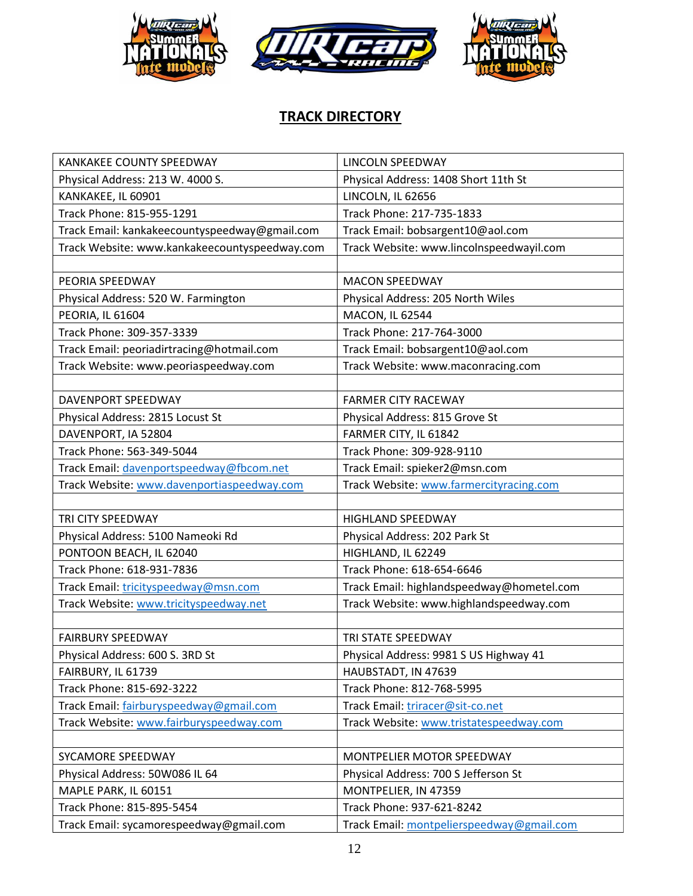

# **TRACK DIRECTORY**

| KANKAKEE COUNTY SPEEDWAY                      | LINCOLN SPEEDWAY                          |
|-----------------------------------------------|-------------------------------------------|
| Physical Address: 213 W. 4000 S.              | Physical Address: 1408 Short 11th St      |
| KANKAKEE, IL 60901                            | LINCOLN, IL 62656                         |
| Track Phone: 815-955-1291                     | Track Phone: 217-735-1833                 |
| Track Email: kankakeecountyspeedway@gmail.com | Track Email: bobsargent10@aol.com         |
| Track Website: www.kankakeecountyspeedway.com | Track Website: www.lincolnspeedwayil.com  |
|                                               |                                           |
| PEORIA SPEEDWAY                               | <b>MACON SPEEDWAY</b>                     |
| Physical Address: 520 W. Farmington           | Physical Address: 205 North Wiles         |
| PEORIA, IL 61604                              | MACON, IL 62544                           |
| Track Phone: 309-357-3339                     | Track Phone: 217-764-3000                 |
| Track Email: peoriadirtracing@hotmail.com     | Track Email: bobsargent10@aol.com         |
| Track Website: www.peoriaspeedway.com         | Track Website: www.maconracing.com        |
|                                               |                                           |
| DAVENPORT SPEEDWAY                            | <b>FARMER CITY RACEWAY</b>                |
| Physical Address: 2815 Locust St              | Physical Address: 815 Grove St            |
| DAVENPORT, IA 52804                           | FARMER CITY, IL 61842                     |
| Track Phone: 563-349-5044                     | Track Phone: 309-928-9110                 |
| Track Email: davenportspeedway@fbcom.net      | Track Email: spieker2@msn.com             |
| Track Website: www.davenportiaspeedway.com    | Track Website: www.farmercityracing.com   |
|                                               |                                           |
| TRI CITY SPEEDWAY                             | <b>HIGHLAND SPEEDWAY</b>                  |
| Physical Address: 5100 Nameoki Rd             | Physical Address: 202 Park St             |
| PONTOON BEACH, IL 62040                       | HIGHLAND, IL 62249                        |
| Track Phone: 618-931-7836                     | Track Phone: 618-654-6646                 |
| Track Email: tricityspeedway@msn.com          | Track Email: highlandspeedway@hometel.com |
| Track Website: www.tricityspeedway.net        | Track Website: www.highlandspeedway.com   |
|                                               |                                           |
| <b>FAIRBURY SPEEDWAY</b>                      | TRI STATE SPEEDWAY                        |
| Physical Address: 600 S. 3RD St               | Physical Address: 9981 S US Highway 41    |
| FAIRBURY, IL 61739                            | HAUBSTADT, IN 47639                       |
| Track Phone: 815-692-3222                     | Track Phone: 812-768-5995                 |
| Track Email: fairburyspeedway@gmail.com       | Track Email: triracer@sit-co.net          |
| Track Website: www.fairburyspeedway.com       | Track Website: www.tristatespeedway.com   |
|                                               |                                           |
| SYCAMORE SPEEDWAY                             | MONTPELIER MOTOR SPEEDWAY                 |
| Physical Address: 50W086 IL 64                | Physical Address: 700 S Jefferson St      |
| MAPLE PARK, IL 60151                          | MONTPELIER, IN 47359                      |
| Track Phone: 815-895-5454                     | Track Phone: 937-621-8242                 |
| Track Email: sycamorespeedway@gmail.com       | Track Email: montpelierspeedway@gmail.com |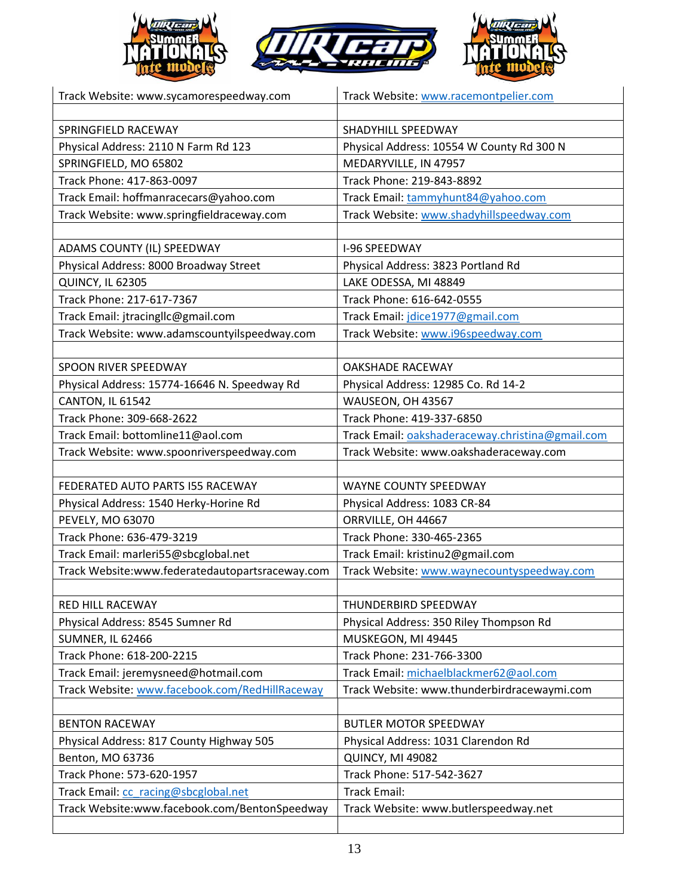

| Track Website: www.sycamorespeedway.com         | Track Website: www.racemontpelier.com            |
|-------------------------------------------------|--------------------------------------------------|
|                                                 |                                                  |
| SPRINGFIELD RACEWAY                             | SHADYHILL SPEEDWAY                               |
| Physical Address: 2110 N Farm Rd 123            | Physical Address: 10554 W County Rd 300 N        |
| SPRINGFIELD, MO 65802                           | MEDARYVILLE, IN 47957                            |
| Track Phone: 417-863-0097                       | Track Phone: 219-843-8892                        |
| Track Email: hoffmanracecars@yahoo.com          | Track Email: tammyhunt84@yahoo.com               |
| Track Website: www.springfieldraceway.com       | Track Website: www.shadyhillspeedway.com         |
|                                                 |                                                  |
| ADAMS COUNTY (IL) SPEEDWAY                      | <b>I-96 SPEEDWAY</b>                             |
| Physical Address: 8000 Broadway Street          | Physical Address: 3823 Portland Rd               |
| QUINCY, IL 62305                                | LAKE ODESSA, MI 48849                            |
| Track Phone: 217-617-7367                       | Track Phone: 616-642-0555                        |
| Track Email: jtracingllc@gmail.com              | Track Email: jdice1977@gmail.com                 |
| Track Website: www.adamscountyilspeedway.com    | Track Website: www.i96speedway.com               |
|                                                 |                                                  |
| SPOON RIVER SPEEDWAY                            | <b>OAKSHADE RACEWAY</b>                          |
| Physical Address: 15774-16646 N. Speedway Rd    | Physical Address: 12985 Co. Rd 14-2              |
| CANTON, IL 61542                                | WAUSEON, OH 43567                                |
| Track Phone: 309-668-2622                       | Track Phone: 419-337-6850                        |
| Track Email: bottomline11@aol.com               | Track Email: oakshaderaceway.christina@gmail.com |
| Track Website: www.spoonriverspeedway.com       | Track Website: www.oakshaderaceway.com           |
|                                                 |                                                  |
| FEDERATED AUTO PARTS I55 RACEWAY                | WAYNE COUNTY SPEEDWAY                            |
| Physical Address: 1540 Herky-Horine Rd          | Physical Address: 1083 CR-84                     |
| PEVELY, MO 63070                                | ORRVILLE, OH 44667                               |
| Track Phone: 636-479-3219                       | Track Phone: 330-465-2365                        |
| Track Email: marleri55@sbcglobal.net            | Track Email: kristinu2@gmail.com                 |
| Track Website:www.federatedautopartsraceway.com | Track Website: www.waynecountyspeedway.com       |
|                                                 |                                                  |
| <b>RED HILL RACEWAY</b>                         | THUNDERBIRD SPEEDWAY                             |
| Physical Address: 8545 Sumner Rd                | Physical Address: 350 Riley Thompson Rd          |
| <b>SUMNER, IL 62466</b>                         | MUSKEGON, MI 49445                               |
| Track Phone: 618-200-2215                       | Track Phone: 231-766-3300                        |
| Track Email: jeremysneed@hotmail.com            | Track Email: michaelblackmer62@aol.com           |
| Track Website: www.facebook.com/RedHillRaceway  | Track Website: www.thunderbirdracewaymi.com      |
|                                                 |                                                  |
| <b>BENTON RACEWAY</b>                           | <b>BUTLER MOTOR SPEEDWAY</b>                     |
| Physical Address: 817 County Highway 505        | Physical Address: 1031 Clarendon Rd              |
| Benton, MO 63736                                | QUINCY, MI 49082                                 |
| Track Phone: 573-620-1957                       | Track Phone: 517-542-3627                        |
| Track Email: cc racing@sbcglobal.net            | <b>Track Email:</b>                              |
| Track Website:www.facebook.com/BentonSpeedway   | Track Website: www.butlerspeedway.net            |
|                                                 |                                                  |